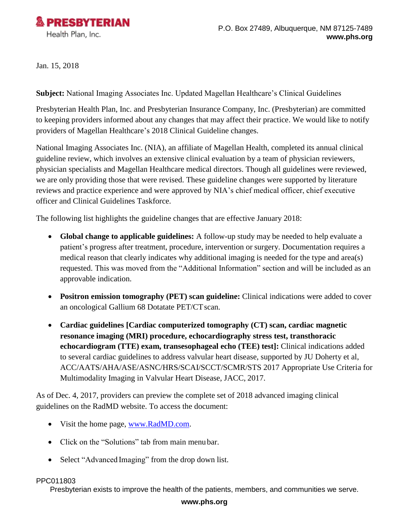

Jan. 15, 2018

**Subject:** National Imaging Associates Inc. Updated Magellan Healthcare's Clinical Guidelines

Presbyterian Health Plan, Inc. and Presbyterian Insurance Company, Inc. (Presbyterian) are committed to keeping providers informed about any changes that may affect their practice. We would like to notify providers of Magellan Healthcare's 2018 Clinical Guideline changes.

National Imaging Associates Inc. (NIA), an affiliate of Magellan Health, completed its annual clinical guideline review, which involves an extensive clinical evaluation by a team of physician reviewers, physician specialists and Magellan Healthcare medical directors. Though all guidelines were reviewed, we are only providing those that were revised. These guideline changes were supported by literature reviews and practice experience and were approved by NIA's chief medical officer, chief executive officer and Clinical Guidelines Taskforce.

The following list highlights the guideline changes that are effective January 2018:

- **Global change to applicable guidelines:** A follow-up study may be needed to help evaluate a patient's progress after treatment, procedure, intervention or surgery. Documentation requires a medical reason that clearly indicates why additional imaging is needed for the type and area(s) requested. This was moved from the "Additional Information" section and will be included as an approvable indication.
- **Positron emission tomography (PET) scan guideline:** Clinical indications were added to cover an oncological Gallium 68 Dotatate PET/CT scan.
- **Cardiac guidelines [Cardiac computerized tomography (CT) scan, cardiac magnetic resonance imaging (MRI) procedure, echocardiography stress test, transthoracic echocardiogram (TTE) exam, transesophageal echo (TEE) test]:** Clinical indications added to several cardiac guidelines to address valvular heart disease, supported by JU Doherty et al, ACC/AATS/AHA/ASE/ASNC/HRS/SCAI/SCCT/SCMR/STS 2017 Appropriate Use Criteria for Multimodality Imaging in Valvular Heart Disease, JACC, 2017.

As of Dec. 4, 2017, providers can preview the complete set of 2018 advanced imaging clinical guidelines on the RadMD website. To access the document:

- Visit the home page, [www.RadMD.com.](http://www.radmd.com/)
- Click on the "Solutions" tab from main menu bar.
- Select "Advanced Imaging" from the drop down list.

## PPC011803

Presbyterian exists to improve the health of the patients, members, and communities we serve.